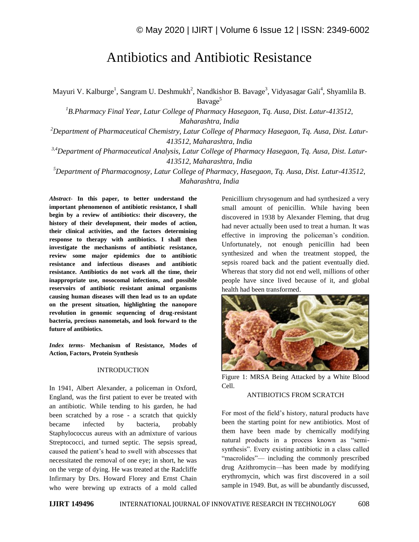# Antibiotics and Antibiotic Resistance

Mayuri V. Kalburge<sup>1</sup>, Sangram U. Deshmukh<sup>2</sup>, Nandkishor B. Bavage<sup>3</sup>, Vidyasagar Gali<sup>4</sup>, Shyamlila B. Bavage<sup>5</sup>

*<sup>1</sup>B.Pharmacy Final Year, Latur College of Pharmacy Hasegaon, Tq. Ausa, Dist. Latur-413512, Maharashtra, India*

*<sup>2</sup>Department of Pharmaceutical Chemistry, Latur College of Pharmacy Hasegaon, Tq. Ausa, Dist. Latur-413512, Maharashtra, India*

*3,4Department of Pharmaceutical Analysis, Latur College of Pharmacy Hasegaon, Tq. Ausa, Dist. Latur-413512, Maharashtra, India*

*<sup>5</sup>Department of Pharmacognosy, Latur College of Pharmacy, Hasegaon, Tq. Ausa, Dist. Latur-413512, Maharashtra, India*

*Abstract*- **In this paper, to better understand the important phenomenon of antibiotic resistance, I shall begin by a review of antibiotics: their discovery, the history of their development, their modes of action, their clinical activities, and the factors determining response to therapy with antibiotics. I shall then investigate the mechanisms of antibiotic resistance, review some major epidemics due to antibiotic resistance and infectious diseases and antibiotic resistance. Antibiotics do not work all the time, their inappropriate use, nosocomal infections, and possible reservoirs of antibiotic resistant animal organisms causing human diseases will then lead us to an update on the present situation, highlighting the nanopore revolution in genomic sequencing of drug-resistant bacteria, precious nanometals, and look forward to the future of antibiotics.**

*Index terms***- Mechanism of Resistance, Modes of Action, Factors, Protein Synthesis**

#### INTRODUCTION

In 1941, Albert Alexander, a policeman in Oxford, England, was the first patient to ever be treated with an antibiotic. While tending to his garden, he had been scratched by a rose - a scratch that quickly became infected by bacteria, probably Staphylococcus aureus with an admixture of various Streptococci, and turned septic. The sepsis spread, caused the patient's head to swell with abscesses that necessitated the removal of one eye; in short, he was on the verge of dying. He was treated at the Radcliffe Infirmary by Drs. Howard Florey and Ernst Chain who were brewing up extracts of a mold called Penicillium chrysogenum and had synthesized a very small amount of penicillin. While having been discovered in 1938 by Alexander Fleming, that drug had never actually been used to treat a human. It was effective in improving the policeman's condition. Unfortunately, not enough penicillin had been synthesized and when the treatment stopped, the sepsis roared back and the patient eventually died. Whereas that story did not end well, millions of other people have since lived because of it, and global health had been transformed.



Figure 1: MRSA Being Attacked by a White Blood Cell.

#### ANTIBIOTICS FROM SCRATCH

For most of the field's history, natural products have been the starting point for new antibiotics. Most of them have been made by chemically modifying natural products in a process known as "semisynthesis". Every existing antibiotic in a class called "macrolides"— including the commonly prescribed drug Azithromycin—has been made by modifying erythromycin, which was first discovered in a soil sample in 1949. But, as will be abundantly discussed,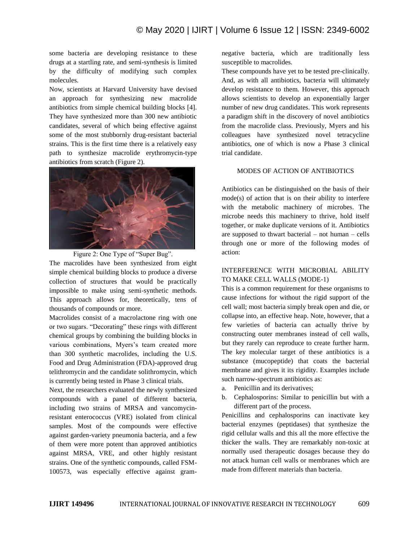some bacteria are developing resistance to these drugs at a startling rate, and semi-synthesis is limited by the difficulty of modifying such complex molecules.

Now, scientists at Harvard University have devised an approach for synthesizing new macrolide antibiotics from simple chemical building blocks [4]. They have synthesized more than 300 new antibiotic candidates, several of which being effective against some of the most stubbornly drug-resistant bacterial strains. This is the first time there is a relatively easy path to synthesize macrolide erythromycin-type antibiotics from scratch (Figure 2).



Figure 2: One Type of "Super Bug".

The macrolides have been synthesized from eight simple chemical building blocks to produce a diverse collection of structures that would be practically impossible to make using semi-synthetic methods. This approach allows for, theoretically, tens of thousands of compounds or more.

Macrolides consist of a macrolactone ring with one or two sugars. "Decorating" these rings with different chemical groups by combining the building blocks in various combinations, Myers's team created more than 300 synthetic macrolides, including the U.S. Food and Drug Administration (FDA)-approved drug telithromycin and the candidate solithromycin, which is currently being tested in Phase 3 clinical trials.

Next, the researchers evaluated the newly synthesized compounds with a panel of different bacteria, including two strains of MRSA and vancomycinresistant enterococcus (VRE) isolated from clinical samples. Most of the compounds were effective against garden-variety pneumonia bacteria, and a few of them were more potent than approved antibiotics against MRSA, VRE, and other highly resistant strains. One of the synthetic compounds, called FSM-100573, was especially effective against gramnegative bacteria, which are traditionally less susceptible to macrolides.

These compounds have yet to be tested pre-clinically. And, as with all antibiotics, bacteria will ultimately develop resistance to them. However, this approach allows scientists to develop an exponentially larger number of new drug candidates. This work represents a paradigm shift in the discovery of novel antibiotics from the macrolide class. Previously, Myers and his colleagues have synthesized novel tetracycline antibiotics, one of which is now a Phase 3 clinical trial candidate.

### MODES OF ACTION OF ANTIBIOTICS

Antibiotics can be distinguished on the basis of their mode(s) of action that is on their ability to interfere with the metabolic machinery of microbes. The microbe needs this machinery to thrive, hold itself together, or make duplicate versions of it. Antibiotics are supposed to thwart bacterial – not human – cells through one or more of the following modes of action:

# INTERFERENCE WITH MICROBIAL ABILITY TO MAKE CELL WALLS (MODE-1)

This is a common requirement for these organisms to cause infections for without the rigid support of the cell wall; most bacteria simply break open and die, or collapse into, an effective heap. Note, however, that a few varieties of bacteria can actually thrive by constructing outer membranes instead of cell walls, but they rarely can reproduce to create further harm. The key molecular target of these antibiotics is a substance (mucopeptide) that coats the bacterial membrane and gives it its rigidity. Examples include such narrow-spectrum antibiotics as:

- a. Penicillin and its derivatives;
- b. Cephalosporins: Similar to penicillin but with a different part of the process.

Penicillins and cephalosporins can inactivate key bacterial enzymes (peptidases) that synthesize the rigid cellular walls and this all the more effective the thicker the walls. They are remarkably non-toxic at normally used therapeutic dosages because they do not attack human cell walls or membranes which are made from different materials than bacteria.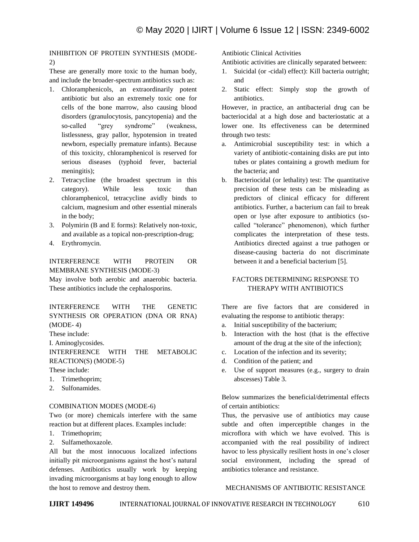# INHIBITION OF PROTEIN SYNTHESIS (MODE-2)

These are generally more toxic to the human body, and include the broader-spectrum antibiotics such as:

- 1. Chloramphenicols, an extraordinarily potent antibiotic but also an extremely toxic one for cells of the bone marrow, also causing blood disorders (granulocytosis, pancytopenia) and the so-called "grey syndrome" (weakness, listlessness, gray pallor, hypotension in treated newborn, especially premature infants). Because of this toxicity, chloramphenicol is reserved for serious diseases (typhoid fever, bacterial meningitis);
- 2. Tetracycline (the broadest spectrum in this category). While less toxic than chloramphenicol, tetracycline avidly binds to calcium, magnesium and other essential minerals in the body;
- 3. Polymirin (B and E forms): Relatively non-toxic, and available as a topical non-prescription-drug;
- 4. Erythromycin.

INTERFERENCE WITH PROTEIN OR MEMBRANE SYNTHESIS (MODE-3)

May involve both aerobic and anaerobic bacteria. These antibiotics include the cephalosporins.

## INTERFERENCE WITH THE GENETIC SYNTHESIS OR OPERATION (DNA OR RNA) (MODE- 4)

These include:

I. Aminoglycosides.

INTERFERENCE WITH THE METABOLIC REACTION(S) (MODE-5)

- These include:
- 1. Trimethoprim;
- 2. Sulfonamides.

## COMBINATION MODES (MODE-6)

Two (or more) chemicals interfere with the same reaction but at different places. Examples include:

- 1. Trimethoprim;
- 2. Sulfamethoxazole.

All but the most innocuous localized infections initially pit microorganisms against the host's natural defenses. Antibiotics usually work by keeping invading microorganisms at bay long enough to allow the host to remove and destroy them.

Antibiotic Clinical Activities

Antibiotic activities are clinically separated between:

- 1. Suicidal (or -cidal) effect): Kill bacteria outright; and
- 2. Static effect: Simply stop the growth of antibiotics.

However, in practice, an antibacterial drug can be bacteriocidal at a high dose and bacteriostatic at a lower one. Its effectiveness can be determined through two tests:

- a. Antimicrobial susceptibility test: in which a variety of antibiotic-containing disks are put into tubes or plates containing a growth medium for the bacteria; and
- b. Bacteriocidal (or lethality) test: The quantitative precision of these tests can be misleading as predictors of clinical efficacy for different antibiotics. Further, a bacterium can fail to break open or lyse after exposure to antibiotics (socalled "tolerance" phenomenon), which further complicates the interpretation of these tests. Antibiotics directed against a true pathogen or disease-causing bacteria do not discriminate between it and a beneficial bacterium [5].

# FACTORS DETERMINING RESPONSE TO THERAPY WITH ANTIBIOTICS

There are five factors that are considered in evaluating the response to antibiotic therapy:

- a. Initial susceptibility of the bacterium;
- b. Interaction with the host (that is the effective amount of the drug at the site of the infection);
- c. Location of the infection and its severity;
- d. Condition of the patient; and
- e. Use of support measures (e.g., surgery to drain abscesses) Table 3.

Below summarizes the beneficial/detrimental effects of certain antibiotics:

Thus, the pervasive use of antibiotics may cause subtle and often imperceptible changes in the microflora with which we have evolved. This is accompanied with the real possibility of indirect havoc to less physically resilient hosts in one's closer social environment, including the spread of antibiotics tolerance and resistance.

## MECHANISMS OF ANTIBIOTIC RESISTANCE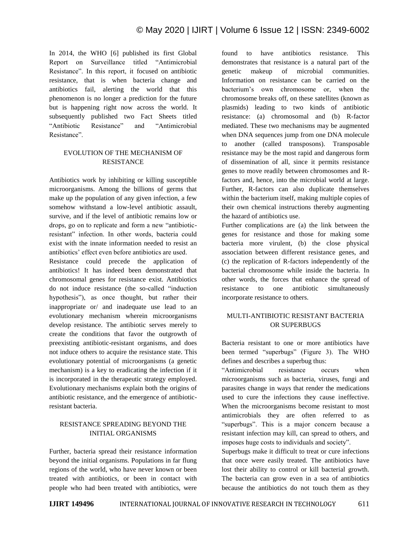In 2014, the WHO [6] published its first Global Report on Surveillance titled "Antimicrobial Resistance". In this report, it focused on antibiotic resistance, that is when bacteria change and antibiotics fail, alerting the world that this phenomenon is no longer a prediction for the future but is happening right now across the world. It subsequently published two Fact Sheets titled "Antibiotic Resistance" and "Antimicrobial Resistance"

# EVOLUTION OF THE MECHANISM OF RESISTANCE

Antibiotics work by inhibiting or killing susceptible microorganisms. Among the billions of germs that make up the population of any given infection, a few somehow withstand a low-level antibiotic assault, survive, and if the level of antibiotic remains low or drops, go on to replicate and form a new "antibioticresistant" infection. In other words, bacteria could exist with the innate information needed to resist an antibiotics' effect even before antibiotics are used.

Resistance could precede the application of antibiotics! It has indeed been demonstrated that chromosomal genes for resistance exist. Antibiotics do not induce resistance (the so-called "induction hypothesis"), as once thought, but rather their inappropriate or/ and inadequate use lead to an evolutionary mechanism wherein microorganisms develop resistance. The antibiotic serves merely to create the conditions that favor the outgrowth of preexisting antibiotic-resistant organisms, and does not induce others to acquire the resistance state. This evolutionary potential of microorganisms (a genetic mechanism) is a key to eradicating the infection if it is incorporated in the therapeutic strategy employed. Evolutionary mechanisms explain both the origins of antibiotic resistance, and the emergence of antibioticresistant bacteria.

## RESISTANCE SPREADING BEYOND THE INITIAL ORGANISMS

Further, bacteria spread their resistance information beyond the initial organisms. Populations in far flung regions of the world, who have never known or been treated with antibiotics, or been in contact with people who had been treated with antibiotics, were found to have antibiotics resistance. This demonstrates that resistance is a natural part of the genetic makeup of microbial communities. Information on resistance can be carried on the bacterium's own chromosome or, when the chromosome breaks off, on these satellites (known as plasmids) leading to two kinds of antibiotic resistance: (a) chromosomal and (b) R-factor mediated. These two mechanisms may be augmented when DNA sequences jump from one DNA molecule to another (called transposons). Transposable resistance may be the most rapid and dangerous form of dissemination of all, since it permits resistance genes to move readily between chromosomes and Rfactors and, hence, into the microbial world at large. Further, R-factors can also duplicate themselves within the bacterium itself, making multiple copies of their own chemical instructions thereby augmenting the hazard of antibiotics use.

Further complications are (a) the link between the genes for resistance and those for making some bacteria more virulent, (b) the close physical association between different resistance genes, and (c) the replication of R-factors independently of the bacterial chromosome while inside the bacteria. In other words, the forces that enhance the spread of resistance to one antibiotic simultaneously incorporate resistance to others.

# MULTI-ANTIBIOTIC RESISTANT BACTERIA OR SUPERBUGS

Bacteria resistant to one or more antibiotics have been termed "superbugs" (Figure 3). The WHO defines and describes a superbug thus:

―Antimicrobial resistance occurs when microorganisms such as bacteria, viruses, fungi and parasites change in ways that render the medications used to cure the infections they cause ineffective. When the microorganisms become resistant to most antimicrobials they are often referred to as ―superbugs‖. This is a major concern because a resistant infection may kill, can spread to others, and imposes huge costs to individuals and society".

Superbugs make it difficult to treat or cure infections that once were easily treated. The antibiotics have lost their ability to control or kill bacterial growth. The bacteria can grow even in a sea of antibiotics because the antibiotics do not touch them as they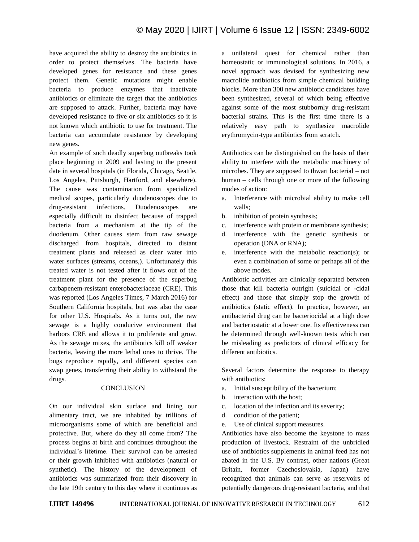have acquired the ability to destroy the antibiotics in order to protect themselves. The bacteria have developed genes for resistance and these genes protect them. Genetic mutations might enable bacteria to produce enzymes that inactivate antibiotics or eliminate the target that the antibiotics are supposed to attack. Further, bacteria may have developed resistance to five or six antibiotics so it is not known which antibiotic to use for treatment. The bacteria can accumulate resistance by developing new genes.

An example of such deadly superbug outbreaks took place beginning in 2009 and lasting to the present date in several hospitals (in Florida, Chicago, Seattle, Los Angeles, Pittsburgh, Hartford, and elsewhere). The cause was contamination from specialized medical scopes, particularly duodenoscopes due to drug-resistant infections. Duodenoscopes are especially difficult to disinfect because of trapped bacteria from a mechanism at the tip of the duodenum. Other causes stem from raw sewage discharged from hospitals, directed to distant treatment plants and released as clear water into water surfaces (streams, oceans,). Unfortunately this treated water is not tested after it flows out of the treatment plant for the presence of the superbug carbapenem-resistant enterobacteriaceae (CRE). This was reported (Los Angeles Times, 7 March 2016) for Southern California hospitals, but was also the case for other U.S. Hospitals. As it turns out, the raw sewage is a highly conducive environment that harbors CRE and allows it to proliferate and grow. As the sewage mixes, the antibiotics kill off weaker bacteria, leaving the more lethal ones to thrive. The bugs reproduce rapidly, and different species can swap genes, transferring their ability to withstand the drugs.

#### **CONCLUSION**

On our individual skin surface and lining our alimentary tract, we are inhabited by trillions of microorganisms some of which are beneficial and protective. But, where do they all come from? The process begins at birth and continues throughout the individual's lifetime. Their survival can be arrested or their growth inhibited with antibiotics (natural or synthetic). The history of the development of antibiotics was summarized from their discovery in the late 19th century to this day where it continues as a unilateral quest for chemical rather than homeostatic or immunological solutions. In 2016, a novel approach was devised for synthesizing new macrolide antibiotics from simple chemical building blocks. More than 300 new antibiotic candidates have been synthesized, several of which being effective against some of the most stubbornly drug-resistant bacterial strains. This is the first time there is a relatively easy path to synthesize macrolide erythromycin-type antibiotics from scratch.

Antibiotics can be distinguished on the basis of their ability to interfere with the metabolic machinery of microbes. They are supposed to thwart bacterial – not human – cells through one or more of the following modes of action:

- a. Interference with microbial ability to make cell walls;
- b. inhibition of protein synthesis;
- c. interference with protein or membrane synthesis;
- d. interference with the genetic synthesis or operation (DNA or RNA);
- e. interference with the metabolic reaction(s); or even a combination of some or perhaps all of the above modes.

Antibiotic activities are clinically separated between those that kill bacteria outright (suicidal or -cidal effect) and those that simply stop the growth of antibiotics (static effect). In practice, however, an antibacterial drug can be bacteriocidal at a high dose and bacteriostatic at a lower one. Its effectiveness can be determined through well-known tests which can be misleading as predictors of clinical efficacy for different antibiotics.

Several factors determine the response to therapy with antibiotics:

- a. Initial susceptibility of the bacterium;
- b. interaction with the host;
- c. location of the infection and its severity;
- d. condition of the patient;
- e. Use of clinical support measures.

Antibiotics have also become the keystone to mass production of livestock. Restraint of the unbridled use of antibiotics supplements in animal feed has not abated in the U.S. By contrast, other nations (Great Britain, former Czechoslovakia, Japan) have recognized that animals can serve as reservoirs of potentially dangerous drug-resistant bacteria, and that